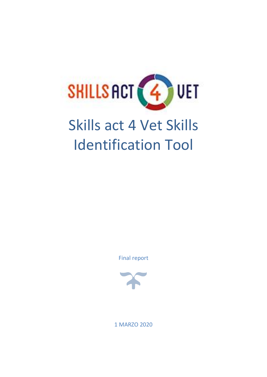

# Skills act 4 Vet Skills Identification Tool

Final report



1 MARZO 2020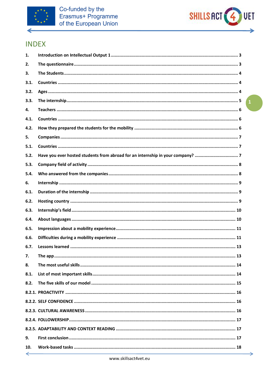



# **INDEX**

| 1.           |                |
|--------------|----------------|
| 2.           |                |
| 3.           |                |
| 3.1.         |                |
| 3.2.         |                |
| 3.3.         | $\overline{1}$ |
| 4.           |                |
| 4.1.         |                |
| 4.2.         |                |
| 5.           |                |
| 5.1.         |                |
| 5.2.         |                |
| 5.3.         |                |
| 5.4.         |                |
| 6.           |                |
| 6.1.         |                |
| 6.2.         |                |
| 6.3.         |                |
| 6.4.         |                |
| 6.5.         |                |
| 6.6.         |                |
| 6.7.         |                |
| 7.           |                |
| 8.           |                |
| 8.1.         |                |
| 8.2.         |                |
|              |                |
|              |                |
|              |                |
|              |                |
|              |                |
| 9.           |                |
| 10.          |                |
| $\leftarrow$ |                |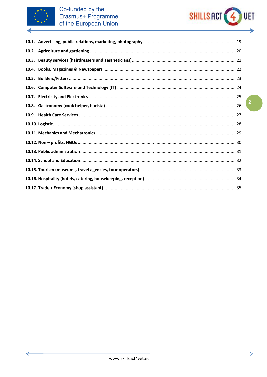

←



⇒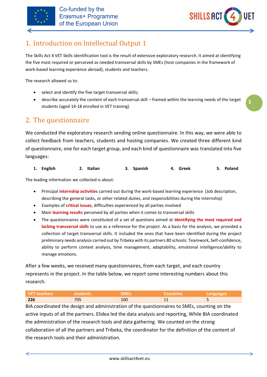



**3**

# <span id="page-3-0"></span>1. Introduction on Intellectual Output 1

The Skills Act 4 VET Skills identification tool is the result of extensive exploratory research. It aimed at identifying the five most required or perceived as needed transversal skills by SMEs (host companies in the framework of work-based learning experience abroad), students and teachers.

The research allowed us to:

- select and identify the five target transversal skills;
- describe accurately the content of each transversal skill framed within the learning needs of the target students (aged 14-18 enrolled in VET training)

# <span id="page-3-1"></span>2. The questionnaire

We conducted the exploratory research sending online questionnaire. In this way, we were able to collect feedback from teachers, students and hosting companies. We created three different kind of questionnaire, one for each target group, and each kind of questionnaire was translated into five languages:

| 1. English | 2. Italian | 3. Spanish | 4. Greek | 5. Poland |
|------------|------------|------------|----------|-----------|
|            |            |            |          |           |

The leading information we collected is about:

- Principal **internship activities** carried out during the work-based learning experience (Job description, describing the general tasks, or other related duties, and responsibilities during the internship)
- Examples of **critical issues**, difficulties experienced by all parties involved
- Main **learning results** perceived by all parties when it comes to transversal skills
- The questionnaires were constituted of a set of questions aimed at **identifying the most required and lacking transversal skills** to use as a reference for the project. As a basis for the analysis, we provided a collection of target transversal skills. It included the ones that have been identified during the project preliminary needs analysis carried out by Tribeka with its partners 80 schools: Teamwork, Self-confidence, ability to perform context analysis, time management, adaptability, emotional intelligence/ability to manage emotions.

After a few weeks, we received many questionnaires, from each target, and each country represents in the project. In the table below, we report some interesting numbers about this research.

| l VET teachers | students | <b>SMEs</b> | <b>Countries</b> | <b>Languages</b> |
|----------------|----------|-------------|------------------|------------------|
| 226            | 705      | 100         | --               |                  |

BIA coordinated the design and administration of the questionnaires to SMEs, counting on the active inputs of all the partners. Elidea led the data analysis and reporting, While BIA coordinated the administration of the research tools and data gathering. We counted on the strong collaboration of all the partners and Tribeka, the coordinator for the definition of the content of the research tools and their administration.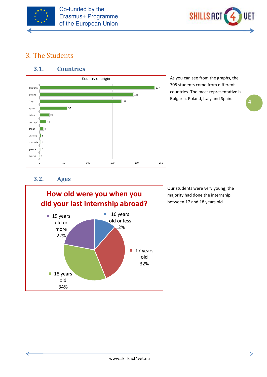



**4**

# <span id="page-4-0"></span>3. The Students

### **3.1. Countries**

<span id="page-4-1"></span>

As you can see from the graphs, the 705 students come from different countries. The most representative is Bulgaria, Poland, Italy and Spain.

#### **3.2. Ages**

<span id="page-4-2"></span>

Our students were very young; the majority had done the internship between 17 and 18 years old.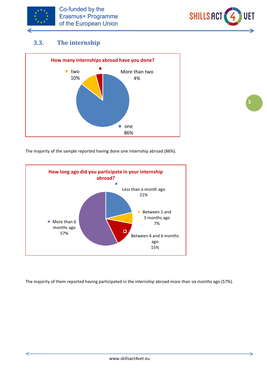



# <span id="page-5-0"></span>**3.3. The internship**



The majority of the sample reported having done one internship abroad (86%).



The majority of them reported having participated in the internship abroad more than six months ago (57%).

**5**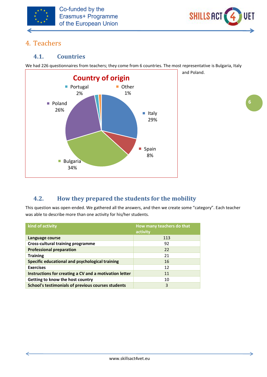



and Poland.

# <span id="page-6-0"></span>4. Teachers

#### <span id="page-6-1"></span>**4.1. Countries**

We had 226 questionnaires from teachers; they come from 6 countries. The most representative is Bulgaria, Italy



# <span id="page-6-2"></span>**4.2. How they prepared the students for the mobility**

This question was open-ended. We gathered all the answers, and then we create some "category". Each teacher was able to describe more than one activity for his/her students.

| kind of activity                                       | How many teachers do that<br>activity |
|--------------------------------------------------------|---------------------------------------|
| Language course                                        | 113                                   |
| <b>Cross-cultural training programme</b>               | 92                                    |
| <b>Professional preparation</b>                        | 22                                    |
| <b>Training</b>                                        | 21                                    |
| Specific educational and psychological training        | 16                                    |
| <b>Exercises</b>                                       | 12                                    |
| Instructions for creating a CV and a motivation letter | 11                                    |
| Getting to know the host country                       | 10                                    |
| School's testimonials of previous courses students     | 3                                     |

⇒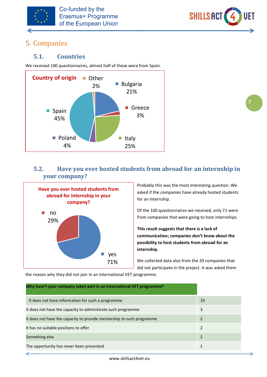



**7**

# <span id="page-7-0"></span>5. Companies

#### <span id="page-7-1"></span>**5.1. Countries**

We received 100 questionnaires, almost half of these were from Spain.



# <span id="page-7-2"></span>**5.2. Have you ever hosted students from abroad for an internship in your company?**



Probably this was the most interesting question. We asked if the companies have already hosted students for an internship.

Of the 100 questionnaires we received, only 71 were from companies that were going to host internships.

**This result suggests that there is a lack of communication; companies don't know about the possibility to host students from abroad for an internship.**

We collected data also from the 29 companies that did not participate in the project. It was asked them

the reason why they did not join in an international VET programme.

| Why hasn't your company taken part in an international VET programme? |    |
|-----------------------------------------------------------------------|----|
| It does not have information for such a programme                     | 19 |
| It does not have the capacity to administrate such programme          | 3  |
| It does not have the capacity to provide mentorship to such programme | 2  |
| It has no suitable positions to offer                                 | 2  |
| Something else                                                        | 2  |
| The opportunity has never been presented                              |    |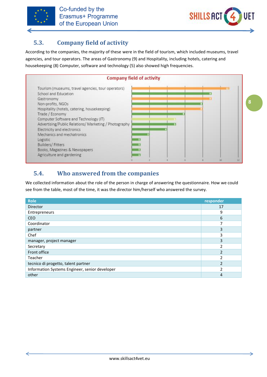



# <span id="page-8-0"></span>**5.3. Company field of activity**

According to the companies, the majority of these were in the field of tourism, which included museums, travel agencies, and tour operators. The areas of Gastronomy (9) and Hospitality, including hotels, catering and housekeeping (8) Computer, software and technology (5) also showed high frequencies.



# <span id="page-8-1"></span>**5.4. Who answered from the companies**

We collected information about the role of the person in charge of answering the questionnaire. How we could see from the table, most of the time, it was the director him/herself who answered the survey.

| <b>Role</b>                                    | responder      |
|------------------------------------------------|----------------|
| <b>Director</b>                                | 17             |
| Entrepreneurs                                  | 9              |
| <b>CEO</b>                                     | 6              |
| Coordinator                                    | $\overline{ }$ |
| partner                                        | 3              |
| Chef                                           | 3              |
| manager, project manager                       | 3              |
| Secretary                                      | າ              |
| Front office                                   | $\mathfrak{p}$ |
| Teacher                                        | $\mathcal{P}$  |
| tecnico di progetto, talent partner            | $\mathcal{P}$  |
| Information Systems Engineer, senior developer | $\mathcal{P}$  |
| other                                          | 4              |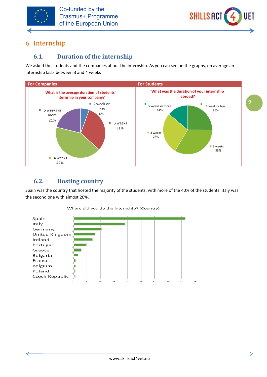



# <span id="page-9-0"></span>6. Internship

# <span id="page-9-1"></span>**6.1. Duration of the internship**

We asked the students and the companies about the internship. As you can see on the graphs, on average an internship lasts between 3 and 4 weeks



# <span id="page-9-2"></span>**6.2. Hosting country**

Spain was the country that hosted the majority of the students, with more of the 40% of the students. Italy was the second one with almost 20%.

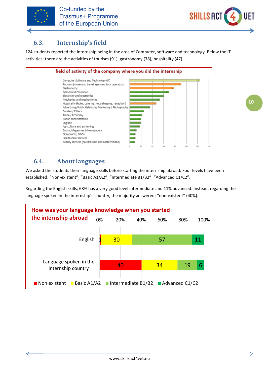



# <span id="page-10-0"></span>**6.3. Internship's field**

124 students reported the internship being in the area of Computer, software and technology. Below the IT activities; there are the activities of tourism (91), gastronomy (78), hospitality (47).



# <span id="page-10-1"></span>**6.4. About languages**

We asked the students their language skills before starting the internship abroad. Four levels have been established: "Non-existent"; "Basic A1/A2"; "Intermediate B1/B2"; "Advanced C1/C2".

Regarding the English skills, 68% has a very good level intermediate and 11% advanced. Instead, regarding the language spoken in the internship's country, the majority answered: "non-existent" (40%).

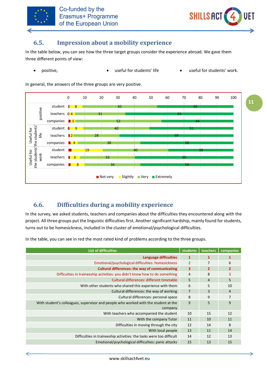



#### <span id="page-11-0"></span>**6.5. Impression about a mobility experience**

In the table below, you can see how the three target groups consider the experience abroad. We gave them three different points of view:

• positive, • useful for students' life • useful for students' work.

In general, the answers of the three groups are very positive.



# <span id="page-11-1"></span>**6.6. Difficulties during a mobility experience**

In the survey, we asked students, teachers and companies about the difficulties they encountered along with the project. All three groups put the linguistic difficulties first. Another significant hardship, mainly found for students, turns out to be homesickness, included in the cluster of emotional/psychological difficulties.

In the table, you can see in red the most rated kind of problems according to the three groups.

| <b>List of difficulties</b>                                                         | students                | teachers       | companies      |
|-------------------------------------------------------------------------------------|-------------------------|----------------|----------------|
| Language difficulties                                                               | $\mathbf{1}$            | 1              | 1              |
| Emotional/psychological difficulties: homesickness                                  | $\overline{2}$          | 7              | 6              |
| <b>Cultural differences: the way of communicating</b>                               | $\overline{\mathbf{3}}$ | $\overline{2}$ | $\overline{2}$ |
| Difficulties in traineeship activities: you didn't know how to do something         | $\overline{4}$          | 8              | 3              |
| Cultural differences: different timetable                                           | 5                       | 4              | 5              |
| With other students who shared this experience with them                            | 6                       | 5              | 10             |
| Cultural differences: the way of working                                            | $\overline{7}$          | 3              | $\overline{4}$ |
| Cultural differences: personal space                                                | 8                       | 9              | $\overline{7}$ |
| With student's colleagues, supervisor and people who worked with the student at the | 9                       | 5              | 9              |
| company                                                                             |                         |                |                |
| With teachers who accompanied the student                                           | 10                      | 15             | 12             |
| With the company Tutor                                                              | 11                      | 10             | 11             |
| Difficulties in moving through the city                                             | 12                      | 14             | 8              |
| With local people                                                                   | 13                      | 11             | 14             |
| Difficulties in traineeship activities: the tasks were too difficult                | 14                      | 12             | 13             |
| Emotional/psychological difficulties: panic attacks                                 | 15                      | 13             | 15             |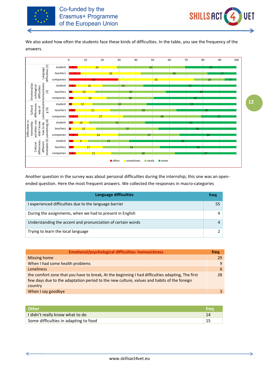



We also asked how often the students face these kinds of difficulties. In the table, you see the frequency of the answers.



Another question in the survey was about personal difficulties during the internship; this one was an openended question. Here the most frequent answers. We collected the responses in macro-categories

| Language difficulties                                       | freq |
|-------------------------------------------------------------|------|
| I experienced difficulties due to the language barrier      | 55   |
| During the assignments, when we had to present in English   |      |
| Understanding the accent and pronunciation of certain words |      |
| Trying to learn the local language                          |      |

| <b>Emotional/psychological difficulties: homesickness</b>                                                                                                                                                 | frea |
|-----------------------------------------------------------------------------------------------------------------------------------------------------------------------------------------------------------|------|
| Missing home                                                                                                                                                                                              | 29   |
| When I had some health problems                                                                                                                                                                           | 9    |
| Loneliness                                                                                                                                                                                                | 6    |
| the comfort zone that you have to break, At the beginning I had difficulties adapting, The first<br>few days due to the adaptation period to the new culture, values and habits of the foreign<br>country | 28   |
| When I say goodbye                                                                                                                                                                                        |      |

| <b>Other</b>                          | trea |
|---------------------------------------|------|
| I didn't really know what to do       | 14   |
| Some difficulties in adapting to food |      |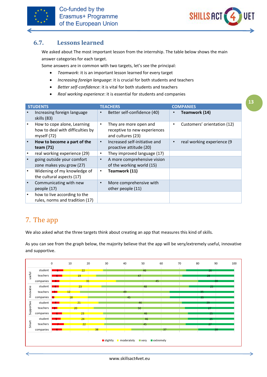



#### <span id="page-13-0"></span>**6.7. Lessons learned**

We asked about The most important lesson from the internship. The table below shows the main answer categories for each target.

Some answers are in common with two targets, let's see the principal:

- *Teamwork*: it is an important lesson learned for every target
- *Increasing foreign language*: it is crucial for both students and teachers
- *Better self-confidence*: it is vital for both students and teachers
- *Real working experience*: it is essential for students and companies

| <b>STUDENTS</b> |                                                                                |           | <b>TEACHERS</b>                                                             | <b>COMPANIES</b>            |
|-----------------|--------------------------------------------------------------------------------|-----------|-----------------------------------------------------------------------------|-----------------------------|
|                 | Increasing foreign language<br>skills (83)                                     | $\bullet$ | Better self-confidence (40)                                                 | Teamwork (14)               |
|                 | How to cope alone, Learning<br>how to deal with difficulties by<br>myself (72) | ٠         | They are more open and<br>receptive to new experiences<br>and cultures (23) | Customers' orientation (12) |
|                 | How to become a part of the<br>team (71)                                       | $\bullet$ | Increased self-initiative and<br>proactive attitude (20)                    | real working experience (9  |
|                 | real working experience (29)                                                   | ٠         | They improved language (17)                                                 |                             |
|                 | going outside your comfort<br>zone makes you grow (27)                         | $\bullet$ | A more comprehensive vision<br>of the working world (15)                    |                             |
|                 | Widening of my knowledge of<br>the cultural aspects (17)                       | ٠         | Teamwork (11)                                                               |                             |
|                 | Communicating with new<br>people (17)                                          | $\bullet$ | More comprehensive with<br>other people (11)                                |                             |
|                 | how to live according to the<br>rules, norms and tradition (17)                |           |                                                                             |                             |

# <span id="page-13-1"></span>7. The app

We also asked what the three targets think about creating an app that measures this kind of skills.

As you can see from the graph below, the majority believe that the app will be very/extremely useful, innovative and supportive.



⇒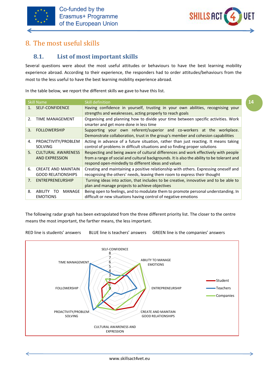



# <span id="page-14-0"></span>8. The most useful skills

# <span id="page-14-1"></span>**8.1. List of most important skills**

Several questions were about the most useful attitudes or behaviours to have the best learning mobility experience abroad. According to their experience, the responders had to order attitudes/behaviours from the most to the less useful to have the best learning mobility experience abroad.

In the table below, we report the different skills we gave to have this list.

| <b>Skill Name</b>     |                                                         | Skill definition                                                                                                                                                                                                                         |
|-----------------------|---------------------------------------------------------|------------------------------------------------------------------------------------------------------------------------------------------------------------------------------------------------------------------------------------------|
| 1 <sup>1</sup>        | <b>SELF-CONFIDENCE</b>                                  | Having confidence in yourself, trusting in your own abilities, recognising your<br>strengths and weaknesses, acting properly to reach goals                                                                                              |
| $\mathcal{P}_{\cdot}$ | <b>TIME MANAGEMENT</b>                                  | Organising and planning how to divide your time between specific activities. Work<br>smarter and get more done in less time                                                                                                              |
| 3.                    | <b>FOLLOWERSHIP</b>                                     | Supporting your own referent/superior and co-workers at the workplace.<br>Demonstrate collaboration, trust in the group's member and cohesion capabilities                                                                               |
| 4.                    | PROACTIVITY/PROBLEM<br><b>SOLVING</b>                   | Acting in advance of a future situation, rather than just reacting. It means taking<br>control of problems in difficult situations and so finding proper solutions                                                                       |
| 5.                    | <b>CULTURAL AWARENESS</b><br><b>AND EXPRESSION</b>      | Respecting and being aware of cultural differences and work effectively with people<br>from a range of social and cultural backgrounds. It is also the ability to be tolerant and<br>respond open-mindedly to different ideas and values |
| 6.                    | <b>CREATE AND MAINTAIN</b><br><b>GOOD RELATIONSHIPS</b> | Creating and maintaining a positive relationship with others. Expressing oneself and<br>recognising the others' needs, leaving them room to express their thought                                                                        |
| 7.                    | ENTREPRENEURSHIP                                        | Turning ideas into action, that includes to be creative, innovative and to be able to<br>plan and manage projects to achieve objectives                                                                                                  |
| 8.                    | MANAGE<br>TO.<br>ABILITY<br><b>EMOTIONS</b>             | Being open to feelings, and to modulate them to promote personal understanding. In<br>difficult or new situations having control of negative emotions                                                                                    |

The following radar graph has been extrapolated from the three different priority list. The closer to the centre means the most important, the farther means, the less important.

RED line is students' answers BLUE line is teachers' answers GREEN line is the companies' answers



**14**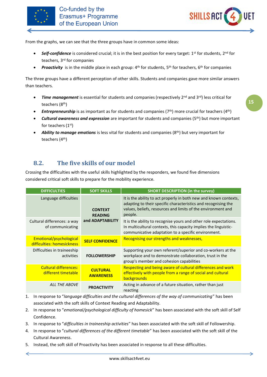

↵



From the graphs, we can see that the three groups have in common some ideas:

- *Self-confidence* is considered crucial; it is in the best position for every target: 1<sup>st</sup> for students, 2<sup>nd</sup> for teachers, 3rd for companies
- *Proactivity* is in the middle place in each group: 4<sup>th</sup> for students, 5<sup>th</sup> for teachers, 6<sup>th</sup> for companies

The three groups have a different perception of other skills. Students and companies gave more similar answers than teachers.

- *Time management* is essential for students and companies (respectively 2<sup>nd</sup> and 3<sup>rd</sup>) less critical for teachers (8th)
- *Entrepreneurship* is as important as for students and companies (7<sup>th</sup>) more crucial for teachers (4<sup>th</sup>)
- *Cultural awareness and expression* are important for students and companies (5th) but more important for teachers (1st)
- *Ability to manage emotions* is less vital for students and companies (8<sup>th</sup>) but very important for teachers (4th)

# <span id="page-15-0"></span>**8.2. The five skills of our model**

Crossing the difficulties with the useful skills highlighted by the responders, we found five dimensions considered critical soft skills to prepare for the mobility experience.

| <b>DIFFICULTIES</b>                                   | <b>SOFT SKILLS</b>                                   | <b>SHORT DESCRIPTION (in the survey)</b>                                                                                                                                                                       |
|-------------------------------------------------------|------------------------------------------------------|----------------------------------------------------------------------------------------------------------------------------------------------------------------------------------------------------------------|
| Language difficulties                                 | <b>CONTEXT</b><br><b>READING</b><br>and ADAPTABILITY | It is the ability to act properly in both new and known contexts,<br>adapting to their specific characteristics and recognising the<br>values, beliefs, resources and limits of the environment and<br>people. |
| Cultural differences: a way<br>of communicating       |                                                      | It is the ability to recognise yours and other role expectations.<br>In multicultural contexts, this capacity implies the linguistic-<br>communicative adaptation to a specific environment.                   |
| Emotional/psychological<br>difficulties: homesickness | <b>SELF CONFIDENCE</b>                               | Recognising our strengths and weaknesses,                                                                                                                                                                      |
| Difficulties in traineeship<br>activities             | <b>FOLLOWERSHIP</b>                                  | Supporting your own referent/superior and co-workers at the<br>workplace and to demonstrate collaboration, trust in the<br>group's member and cohesion capabilities                                            |
| Cultural differences:<br>different timetable          | <b>CULTURAL</b><br><b>AWARENESS</b>                  | Respecting and being aware of cultural differences and work<br>effectively with people from a range of social and cultural<br>backgrounds                                                                      |
| <b>ALL THE ABOVE</b>                                  | <b>PROACTIVITY</b>                                   | Acting in advance of a future situation, rather than just<br>reacting                                                                                                                                          |

- 1. In response to "*language difficulties and the cultural differences of the way of communicating*" has been associated with the soft skills of Context Reading and Adaptability.
- 2. In response to "*emotional/psychological difficulty of homesick*" has been associated with the soft skill of Self Confidence.
- 3. In response to "*difficulties in traineeship activities*" has been associated with the soft skill of Followership.
- 4. In response to "*cultural differences of the different timetable*" has been associated with the soft skill of the Cultural Awareness.
- 5. Instead, the soft skill of Proactivity has been associated in response to all these difficulties.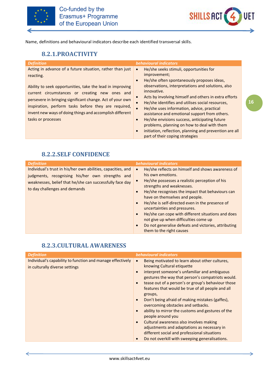



**16**

Name, definitions and behavioural indicators describe each identified transversal skills.

### **8.2.1.PROACTIVITY**

<span id="page-16-0"></span>

| <b>Definition</b>                                                                                                                                                                                                                                                                                                                                                                            | <b>behavioural indicators</b>                                                                                                                                                                                                                                                                                                                                                                                                                                                                                                                                                                                                           |
|----------------------------------------------------------------------------------------------------------------------------------------------------------------------------------------------------------------------------------------------------------------------------------------------------------------------------------------------------------------------------------------------|-----------------------------------------------------------------------------------------------------------------------------------------------------------------------------------------------------------------------------------------------------------------------------------------------------------------------------------------------------------------------------------------------------------------------------------------------------------------------------------------------------------------------------------------------------------------------------------------------------------------------------------------|
| Acting in advance of a future situation, rather than just<br>reacting.<br>Ability to seek opportunities, take the lead in improving<br>current circumstances or creating new ones and<br>persevere in bringing significant change. Act of your own<br>inspiration, perform tasks before they are required,<br>invent new ways of doing things and accomplish different<br>tasks or processes | He/she seeks stimuli, opportunities for<br>$\bullet$<br>improvement;<br>He/she often spontaneously proposes ideas,<br>$\bullet$<br>observations, interpretations and solutions, also<br>innovative.<br>Acts by involving himself and others in extra efforts<br>He/she identifies and utilises social resources,<br>He/she uses information, advice, practical<br>assistance and emotional support from others.<br>He/she envisions success, anticipating future<br>$\bullet$<br>problems, planning on how to deal with them<br>initiation, reflection, planning and prevention are all<br>$\bullet$<br>part of their coping strategies |

### **8.2.2.SELF CONFIDENCE**

<span id="page-16-1"></span>

| <b>Definition</b>                                                                                                                                                                                             | behavioural indicators                                                                                                                                                                                                                                                                                                                                                                                                                                                                                                                                                                          |
|---------------------------------------------------------------------------------------------------------------------------------------------------------------------------------------------------------------|-------------------------------------------------------------------------------------------------------------------------------------------------------------------------------------------------------------------------------------------------------------------------------------------------------------------------------------------------------------------------------------------------------------------------------------------------------------------------------------------------------------------------------------------------------------------------------------------------|
| Individual's trust in his/her own abilities, capacities, and<br>judgments, recognising his/her own strengths and<br>weaknesses, belief that he/she can successfully face day<br>to day challenges and demands | He/she reflects on himself and shows awareness of<br>$\bullet$<br>his own emotions.<br>He/she possesses a realistic perception of his<br>$\bullet$<br>strengths and weaknesses.<br>He/she recognises the impact that behaviours can<br>$\bullet$<br>have on themselves and people.<br>He/she is self-directed even in the presence of<br>$\bullet$<br>uncertainties and pressures.<br>He/she can cope with different situations and does<br>$\bullet$<br>not give up when difficulties come up<br>Do not generalise defeats and victories, attributing<br>$\bullet$<br>them to the right causes |

#### **8.2.3.CULTURAL AWARENESS**

<span id="page-16-2"></span>

| <b>Definition</b>                                                                            | behavioural indicators                                                                                                                                                                                                                                                                                                                                                                                                                                                                                                                                                                                                                                                                                                                               |
|----------------------------------------------------------------------------------------------|------------------------------------------------------------------------------------------------------------------------------------------------------------------------------------------------------------------------------------------------------------------------------------------------------------------------------------------------------------------------------------------------------------------------------------------------------------------------------------------------------------------------------------------------------------------------------------------------------------------------------------------------------------------------------------------------------------------------------------------------------|
| Individual's capability to function and manage effectively<br>in culturally diverse settings | Being motivated to learn about other cultures,<br>knowing Cultural etiquette<br>interpret someone's unfamiliar and ambiguous<br>$\bullet$<br>gestures the way that person's compatriots would.<br>tease out of a person's or group's behaviour those<br>$\bullet$<br>features that would be true of all people and all<br>groups,<br>Don't being afraid of making mistakes (gaffes),<br>$\bullet$<br>overcoming obstacles and setbacks.<br>ability to mirror the customs and gestures of the<br>$\bullet$<br>people around you<br>Cultural awareness also involves making<br>$\bullet$<br>adjustments and adaptations as necessary in<br>different social and professional situations<br>Do not overkill with sweeping generalisations.<br>$\bullet$ |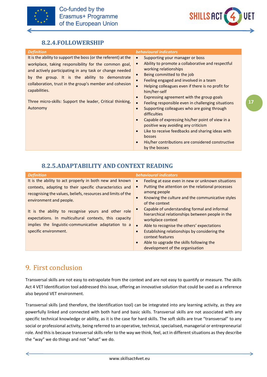



#### **8.2.4.FOLLOWERSHIP**

It is the ability to support the boss (or the referent) at the workplace, taking responsibility for the common goal, and actively participating in any task or change needed by the group. It is the ability to demonstrate collaboration, trust in the group's member and cohesion capabilities.

Three micro-skills: Support the leader, Critical thinking, Autonomy

#### <span id="page-17-0"></span>*Definition behavioural indicators*

- Supporting your manager or boss
- Ability to promote a collaborative and respectful working relationships
- Being committed to the job
- Feeling engaged and involved in a team
- Helping colleagues even if there is no profit for him/her-self
- Expressing agreement with the group goals
- Feeling responsible even in challenging situations
- Supporting colleagues who are going through difficulties
- Capable of expressing his/her point of view in a positive way avoiding any criticism
- Like to receive feedbacks and sharing ideas with bosses
- His/her contributions are considered constructive by the bosses

#### **8.2.5.ADAPTABILITY AND CONTEXT READING**

<span id="page-17-1"></span>

|                                                                                                                                                                                                                                                                                                                                                                                                                                            | <b>behavioural indicators</b>                                                                                                                                                                                                                                                                                                                                                                                                                                                                                           |
|--------------------------------------------------------------------------------------------------------------------------------------------------------------------------------------------------------------------------------------------------------------------------------------------------------------------------------------------------------------------------------------------------------------------------------------------|-------------------------------------------------------------------------------------------------------------------------------------------------------------------------------------------------------------------------------------------------------------------------------------------------------------------------------------------------------------------------------------------------------------------------------------------------------------------------------------------------------------------------|
| It is the ability to act properly in both new and known<br>$\bullet$<br>contexts, adapting to their specific characteristics and<br>recognising the values, beliefs, resources and limits of the<br>$\bullet$<br>environment and people.<br>It is the ability to recognise yours and other role<br>expectations. In multicultural contexts, this capacity<br>implies the linguistic-communicative adaptation to a<br>specific environment. | Feeling at ease even in new or unknown situations<br>Putting the attention on the relational processes<br>among people<br>Knowing the culture and the communicative styles<br>of the context<br>Capable of understanding formal and informal<br>hierarchical relationships between people in the<br>workplace context<br>Able to recognise the others' expectations<br>Establishing relationships by considering the<br>context features<br>Able to upgrade the skills following the<br>development of the organisation |

# <span id="page-17-2"></span>9. First conclusion

Transversal skills are not easy to extrapolate from the context and are not easy to quantify or measure. The skills Act 4 VET Identification tool addressed this issue, offering an innovative solution that could be used as a reference also beyond VET environment.

Transversal skills (and therefore, the Identification tool) can be integrated into any learning activity, as they are powerfully linked and connected with both hard and basic skills. Transversal skills are not associated with any specific technical knowledge or ability, as it is the case for hard skills. The soft skills are true "transversal" to any social or professional activity, being referred to an operative, technical, specialised, managerial or entrepreneurial role. And this is because transversal skills refer to the way we think, feel, act in different situations as they describe the "way" we do things and not "what" we do.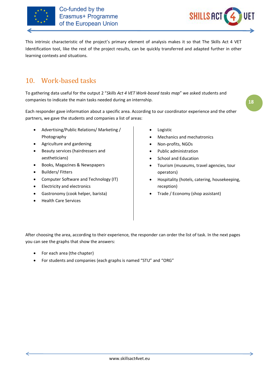



This intrinsic characteristic of the project's primary element of analysis makes it so that The Skills Act 4 VET Identification tool, like the rest of the project results, can be quickly transferred and adapted further in other learning contexts and situations.

# <span id="page-18-0"></span>10. Work-based tasks

To gathering data useful for the output 2 "*Skills Act 4 VET Work-based tasks map*" we asked students and companies to indicate the main tasks needed during an internship.

Each responder gave information about a specific area. According to our coordinator experience and the other partners, we gave the students and companies a list of areas:

- Advertising/Public Relations/ Marketing / Photography
- Agriculture and gardening
- Beauty services (hairdressers and aestheticians)
- Books, Magazines & Newspapers
- Builders/ Fitters
- Computer Software and Technology (IT)
- Electricity and electronics
- Gastronomy (cook helper, barista)
- Health Care Services
- **Logistic**
- Mechanics and mechatronics
- Non-profits, NGOs
- Public administration
- School and Education
- Tourism (museums, travel agencies, tour operators)
- Hospitality (hotels, catering, housekeeping, reception)
- Trade / Economy (shop assistant)

After choosing the area, according to their experience, the responder can order the list of task. In the next pages you can see the graphs that show the answers:

- For each area (the chapter)
- For students and companies (each graphs is named "STU" and "ORG"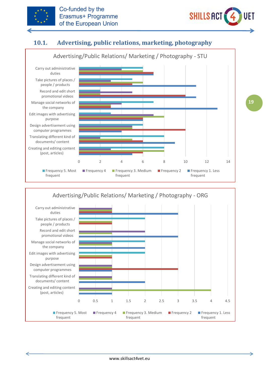



# **10.1. Advertising, public relations, marketing, photography**

<span id="page-19-0"></span>

Advertising/Public Relations/ Marketing / Photography - ORG

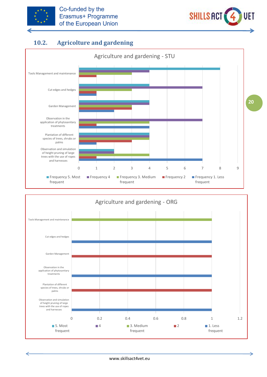



# **10.2. Agricolture and gardening**

<span id="page-20-0"></span>

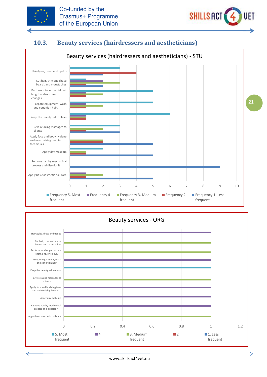



# **10.3. Beauty services (hairdressers and aestheticians)**

<span id="page-21-0"></span>

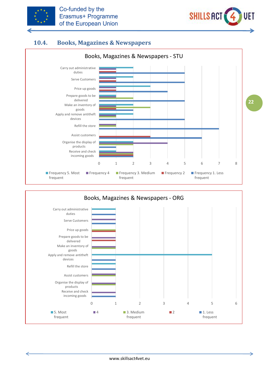



# **10.4. Books, Magazines & Newspapers**

<span id="page-22-0"></span>

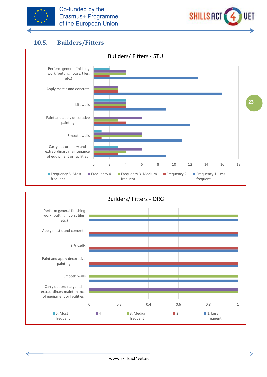



# **10.5. Builders/Fitters**

<span id="page-23-0"></span>

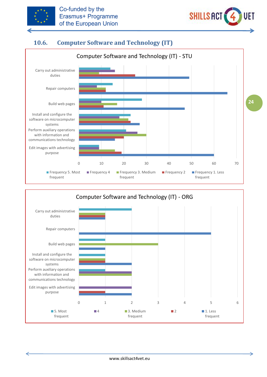



# **10.6. Computer Software and Technology (IT)**

<span id="page-24-0"></span>

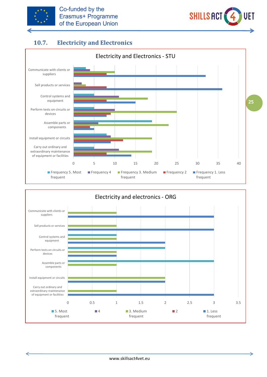



# **10.7. Electricity and Electronics**

<span id="page-25-0"></span>

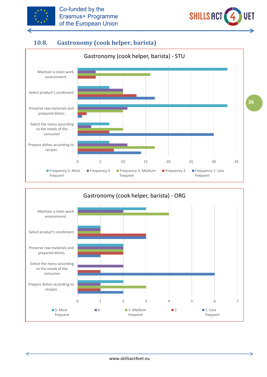



# **10.8. Gastronomy (cook helper, barista)**

<span id="page-26-0"></span>

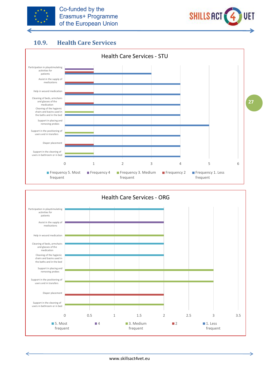



### **10.9. Health Care Services**

<span id="page-27-0"></span>



⇒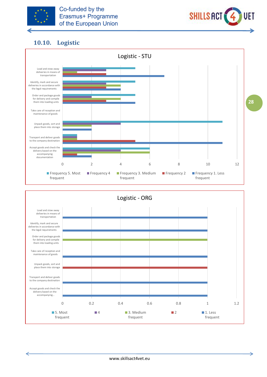



# **10.10. Logistic**

<span id="page-28-0"></span>



⇒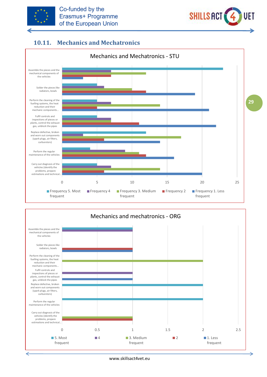



# **10.11. Mechanics and Mechatronics**

<span id="page-29-0"></span>

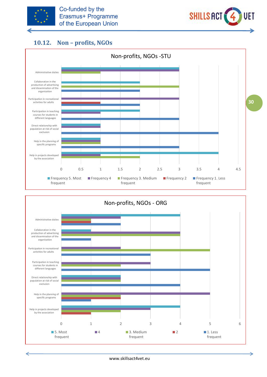



# **10.12. Non – profits, NGOs**

<span id="page-30-0"></span>

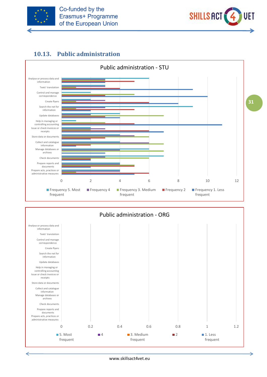



# **10.13. Public administration**

<span id="page-31-0"></span>



www.skillsact4vet.eu

∍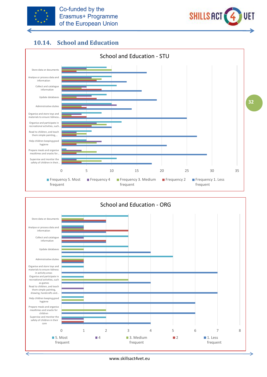



# **10.14. School and Education**

<span id="page-32-0"></span>

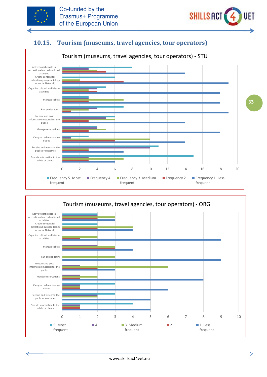



⇒

# **10.15. Tourism (museums, travel agencies, tour operators)**

<span id="page-33-0"></span>

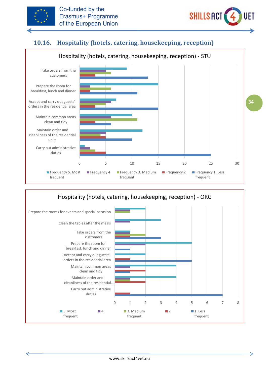



# **10.16. Hospitality (hotels, catering, housekeeping, reception)**

<span id="page-34-0"></span>

#### 0 1 2 3 4 5 6 7 8 Carry out administrative duties Maintain order and cleanliness of the residential… Maintain common areas clean and tidy Accept and carry out guests' orders in the residential area Prepare the room for breakfast, lunch and dinner Take orders from the customers Clean the tables after the meals Prepare the rooms for events and special occasion Hospitality (hotels, catering, housekeeping, reception) - ORG 5. Most frequent **4** 3. Medium frequent **2** 1. Less frequent